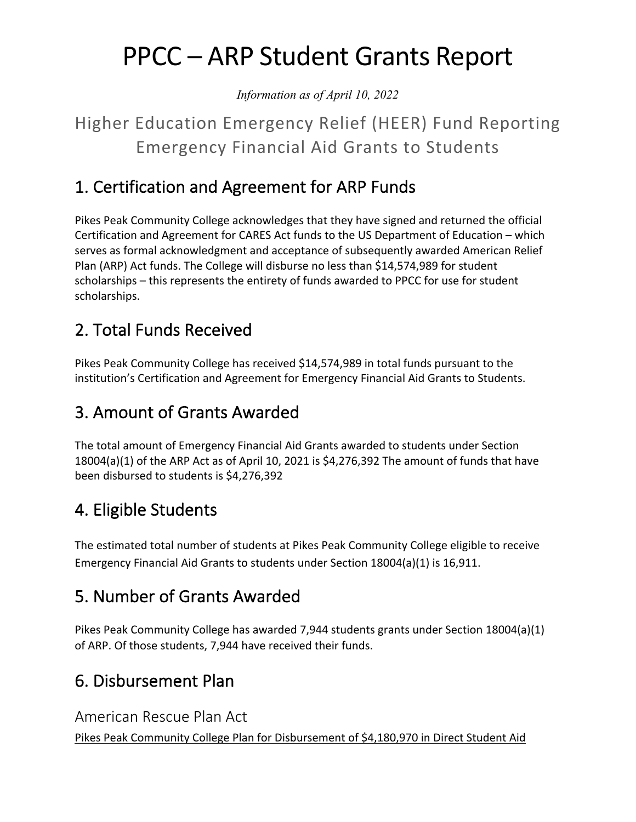# PPCC – ARP Student Grants Report

*Information as of April 10, 2022*

## Higher Education Emergency Relief (HEER) Fund Reporting Emergency Financial Aid Grants to Students

#### 1. Certification and Agreement for ARP Funds

Pikes Peak Community College acknowledges that they have signed and returned the official Certification and Agreement for CARES Act funds to the US Department of Education – which serves as formal acknowledgment and acceptance of subsequently awarded American Relief Plan (ARP) Act funds. The College will disburse no less than \$14,574,989 for student scholarships – this represents the entirety of funds awarded to PPCC for use for student scholarships.

#### 2. Total Funds Received

Pikes Peak Community College has received \$14,574,989 in total funds pursuant to the institution's Certification and Agreement for Emergency Financial Aid Grants to Students.

## 3. Amount of Grants Awarded

The total amount of Emergency Financial Aid Grants awarded to students under Section 18004(a)(1) of the ARP Act as of April 10, 2021 is \$4,276,392 The amount of funds that have been disbursed to students is \$4,276,392

#### 4. Eligible Students

The estimated total number of students at Pikes Peak Community College eligible to receive Emergency Financial Aid Grants to students under Section 18004(a)(1) is 16,911.

#### 5. Number of Grants Awarded

Pikes Peak Community College has awarded 7,944 students grants under Section 18004(a)(1) of ARP. Of those students, 7,944 have received their funds.

## 6. Disbursement Plan

#### American Rescue Plan Act

Pikes Peak Community College Plan for Disbursement of \$4,180,970 in Direct Student Aid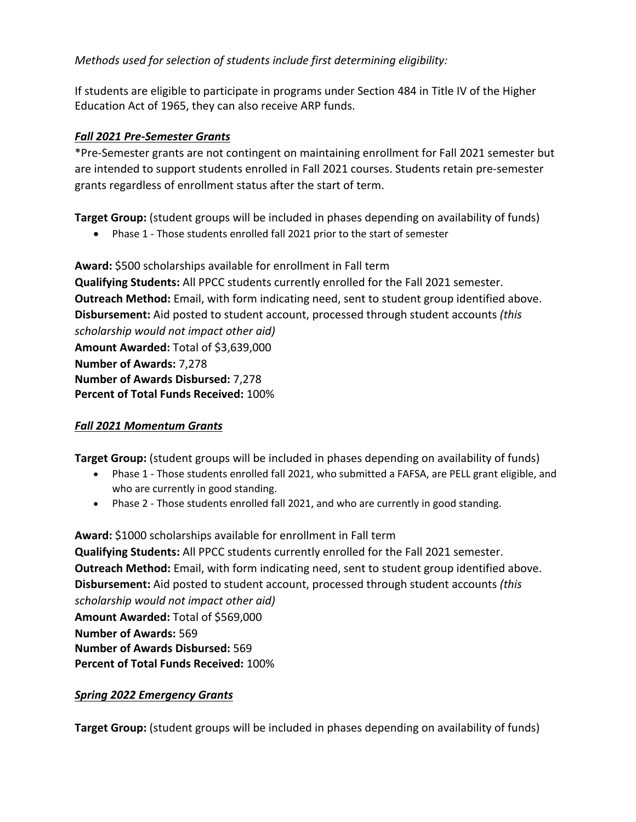*Methods used for selection of students include first determining eligibility:*

If students are eligible to participate in programs under Section 484 in Title IV of the Higher Education Act of 1965, they can also receive ARP funds.

#### *Fall 2021 Pre-Semester Grants*

\*Pre-Semester grants are not contingent on maintaining enrollment for Fall 2021 semester but are intended to support students enrolled in Fall 2021 courses. Students retain pre-semester grants regardless of enrollment status after the start of term.

**Target Group:** (student groups will be included in phases depending on availability of funds)

• Phase 1 - Those students enrolled fall 2021 prior to the start of semester

**Award:** \$500 scholarships available for enrollment in Fall term **Qualifying Students:** All PPCC students currently enrolled for the Fall 2021 semester. **Outreach Method:** Email, with form indicating need, sent to student group identified above. **Disbursement:** Aid posted to student account, processed through student accounts *(this scholarship would not impact other aid)* **Amount Awarded:** Total of \$3,639,000 **Number of Awards:** 7,278 **Number of Awards Disbursed:** 7,278 **Percent of Total Funds Received:** 100%

#### *Fall 2021 Momentum Grants*

**Target Group:** (student groups will be included in phases depending on availability of funds)

- Phase 1 Those students enrolled fall 2021, who submitted a FAFSA, are PELL grant eligible, and who are currently in good standing.
- Phase 2 Those students enrolled fall 2021, and who are currently in good standing.

**Award:** \$1000 scholarships available for enrollment in Fall term **Qualifying Students:** All PPCC students currently enrolled for the Fall 2021 semester. **Outreach Method:** Email, with form indicating need, sent to student group identified above. **Disbursement:** Aid posted to student account, processed through student accounts *(this scholarship would not impact other aid)* **Amount Awarded:** Total of \$569,000 **Number of Awards:** 569 **Number of Awards Disbursed:** 569 **Percent of Total Funds Received:** 100%

#### *Spring 2022 Emergency Grants*

**Target Group:** (student groups will be included in phases depending on availability of funds)